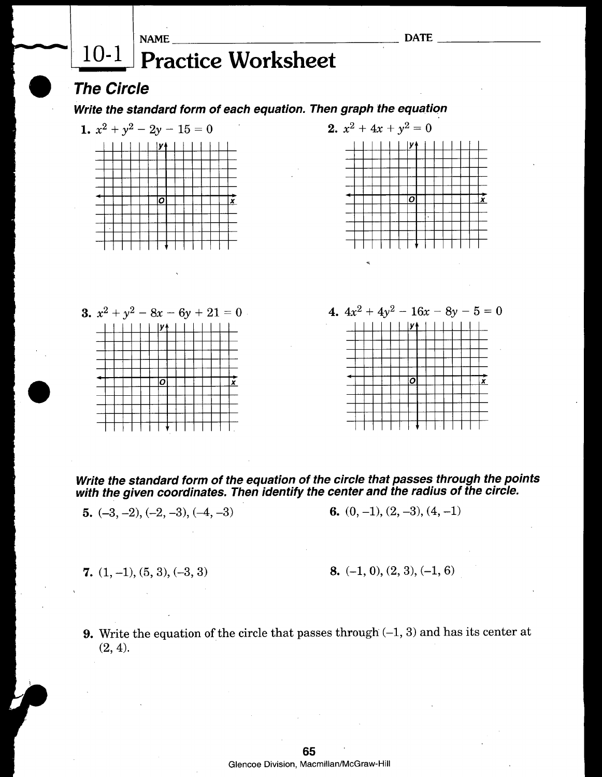





Write the standard form of the equation of the circle that passes through the points with the given coordinates**.** Then identify the center and the radius of the circle**.**

**5.**  $(-3, -2), (-2, -3), (-4, -3)$  **6.**  $(0, -1), (2, -3), (4, -1)$ 

**7.**  $(1, -1), (5, 3), (-3, 3)$  **8.**  $(-1, 0), (2, 3), (-1, 6)$ 

**9**. Write the equation of the circle that passes throug**h** (**-**1, 3) and has its center at (2,4).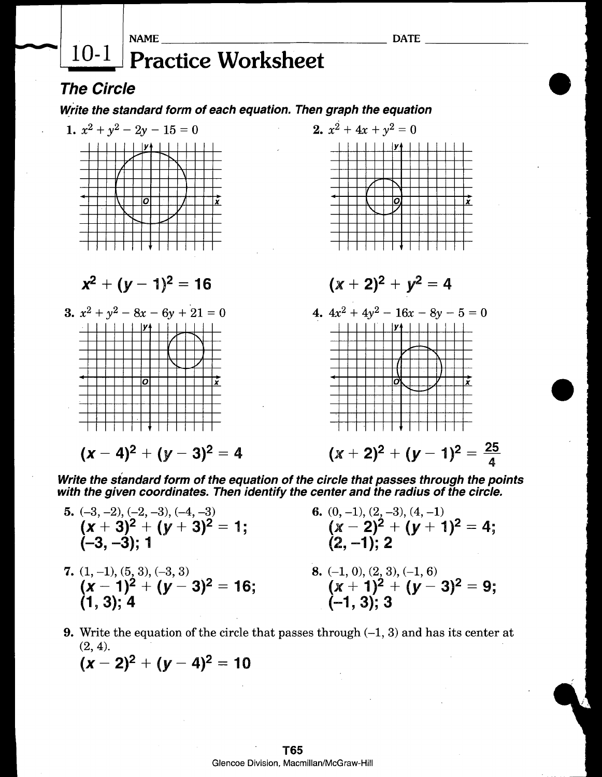## $10-1$ **Practice Worksheet**

## **The Circle**

**NAME** 

## Write the standard form of each equation. Then graph the equation



Write the standard form of the equation of the circle that passes through the points with the given coordinates. Then identify the center and the radius of the circle.

- 5.  $(-3, -2), (-2, -3), (-4, -3)$ <br>  $(x + 3)^2 + (y + 3)^2 = 1;$ 6. (0, -1), (2, -3), (4, -1)<br> $(x-2)^2 + (y+1)^2 = 4$ ;  $(2, -1)$ : 2  $(-3, -3)$ : 1 8. (-1, 0), (2, 3), (-1, 6)<br>  $(x + 1)^2 + (y - 3)^2 = 9;$ <br>
(-1, 3); 3 7.  $(1, -1), (5, 3), (-3, 3)$ <br>  $(\mathbf{x} - 1)^2 + (\mathbf{y} - 3)^2 = 16;$  $(1, 3): 4$
- **9.** Write the equation of the circle that passes through  $(-1, 3)$  and has its center at  $(2, 4)$ .

$$
(x-2)^2 + (y-4)^2 = 10
$$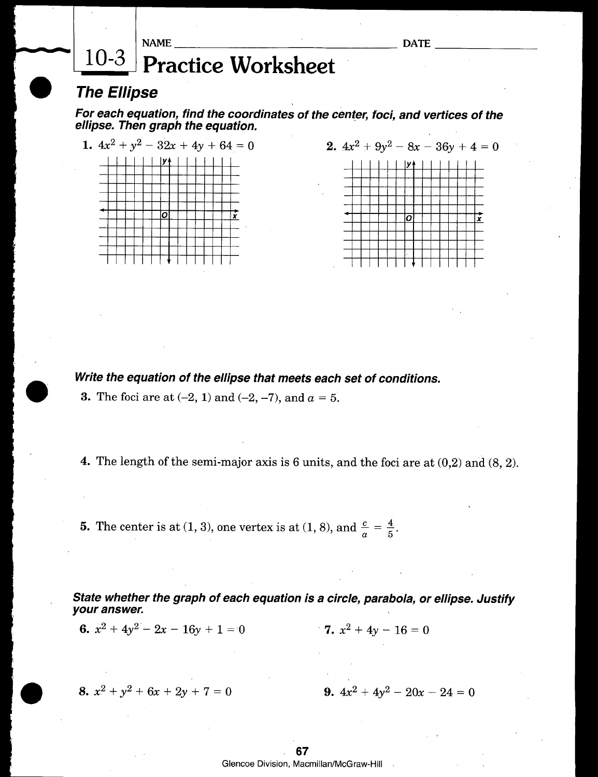|                    |  | <b>NAME</b>                                 | <b>DATE</b> |  |
|--------------------|--|---------------------------------------------|-------------|--|
|                    |  | $\lfloor 10 - 3 \rfloor$ Practice Worksheet |             |  |
| <b>The Ellipse</b> |  |                                             |             |  |

For each equation, find the coordinates of the center, foci, and vertices of the ellipse. Then graph the equation.





Write the equation of the ellipse that meets each set of conditions.

**3.** The foci are at  $(-2, 1)$  and  $(-2, -7)$ , and  $a = 5$ .

4. The length of the semi-major axis is 6 units, and the foci are at (0,2) and (8, 2).

**5.** The center is at (1, 3), one vertex is at (1, 8), and  $\frac{c}{a} = \frac{4}{5}$ .

State whether the graph of each equation is a circle, parabola, or ellipse. Justify your answer.

**6.**  $x^2 + 4y^2 - 2x - 16y + 1 = 0$  <br>**7.**  $x^2 + 4y - 16 = 0$ 

8.  $x^2 + y^2 + 6x + 2y + 7 = 0$ 

9. 
$$
4x^2 + 4y^2 - 20x - 24 = 0
$$